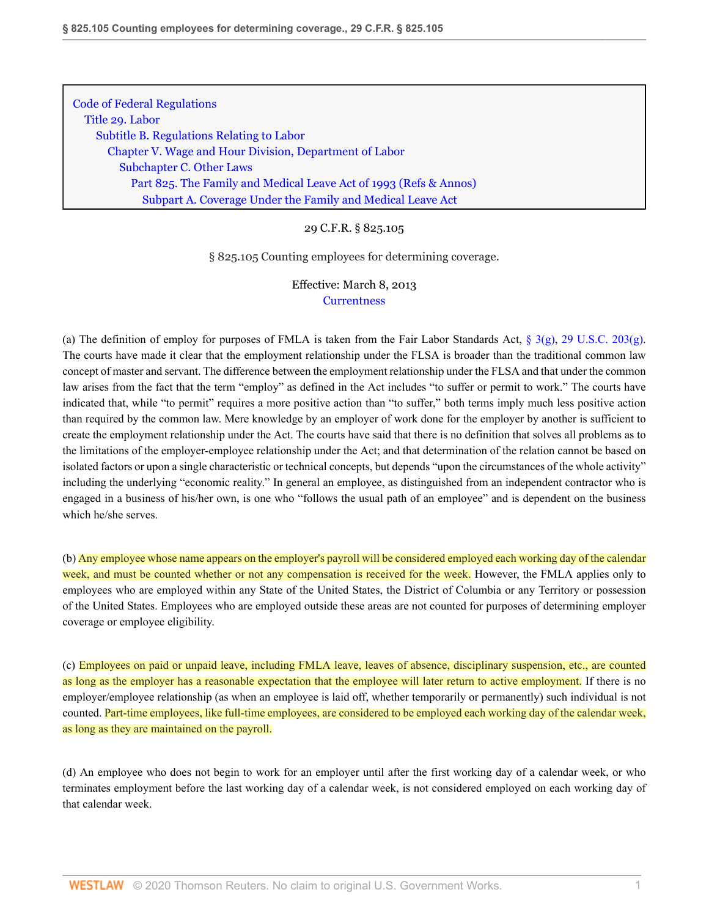[Code of Federal Regulations](http://www.westlaw.com/Browse/Home/Regulations/CodeofFederalRegulationsCFR?transitionType=DocumentItem&contextData=(sc.Document)&rs=clbt1.0&vr=3.0) [Title 29. Labor](http://www.westlaw.com/Browse/Home/Regulations/CodeofFederalRegulationsCFR?guid=NB2705200868811D983FAE1FB4EC4EA60&transitionType=DocumentItem&contextData=(sc.Document)&rs=clbt1.0&vr=3.0) [Subtitle B. Regulations Relating to Labor](http://www.westlaw.com/Browse/Home/Regulations/CodeofFederalRegulationsCFR?guid=N92F279B0868F11D983FAE1FB4EC4EA60&transitionType=DocumentItem&contextData=(sc.Document)&rs=clbt1.0&vr=3.0) [Chapter V. Wage and Hour Division, Department of Labor](http://www.westlaw.com/Browse/Home/Regulations/CodeofFederalRegulationsCFR?guid=N7D204620869011D983FAE1FB4EC4EA60&transitionType=DocumentItem&contextData=(sc.Document)&rs=clbt1.0&vr=3.0) [Subchapter C. Other Laws](http://www.westlaw.com/Browse/Home/Regulations/CodeofFederalRegulationsCFR?guid=NC45DC5C0869111D983FAE1FB4EC4EA60&transitionType=DocumentItem&contextData=(sc.Document)&rs=clbt1.0&vr=3.0) [Part 825. The Family and Medical Leave Act of 1993](http://www.westlaw.com/Browse/Home/Regulations/CodeofFederalRegulationsCFR?guid=N3D3086E070B811E2A64ED6D190F57BB6&transitionType=DocumentItem&contextData=(sc.Document)&rs=clbt1.0&vr=3.0) [\(Refs & Annos\)](http://www.westlaw.com/Link/Document/FullText?findType=l&cite=lk(CFRT29SUBTBCVSUBCCPT825R)&originatingDoc=N7A3A1EF070BF11E2B28BE73E6933AFEE&refType=CM&sourceCite=29+C.F.R.+%c2%a7+825.105&originationContext=document&vr=3.0&rs=cblt1.0&transitionType=DocumentItem&contextData=(sc.Document)) [Subpart A. Coverage Under the Family and Medical Leave Act](http://www.westlaw.com/Browse/Home/Regulations/CodeofFederalRegulationsCFR?guid=NB903BEE070B811E2A64ED6D190F57BB6&transitionType=DocumentItem&contextData=(sc.Document)&rs=clbt1.0&vr=3.0)

## 29 C.F.R. § 825.105

§ 825.105 Counting employees for determining coverage.

Effective: March 8, 2013 **[Currentness](#page-1-0)** 

(a) The definition of employ for purposes of FMLA is taken from the Fair Labor Standards Act,  $\S 3(g)$ , [29 U.S.C. 203\(g\)](http://www.westlaw.com/Link/Document/FullText?findType=L&pubNum=1000546&cite=29USCAS203&originatingDoc=N7A3A1EF070BF11E2B28BE73E6933AFEE&refType=RB&originationContext=document&vr=3.0&rs=cblt1.0&transitionType=DocumentItem&contextData=(sc.Document)#co_pp_16f4000091d86). The courts have made it clear that the employment relationship under the FLSA is broader than the traditional common law concept of master and servant. The difference between the employment relationship under the FLSA and that under the common law arises from the fact that the term "employ" as defined in the Act includes "to suffer or permit to work." The courts have indicated that, while "to permit" requires a more positive action than "to suffer," both terms imply much less positive action than required by the common law. Mere knowledge by an employer of work done for the employer by another is sufficient to create the employment relationship under the Act. The courts have said that there is no definition that solves all problems as to the limitations of the employer-employee relationship under the Act; and that determination of the relation cannot be based on isolated factors or upon a single characteristic or technical concepts, but depends "upon the circumstances of the whole activity" including the underlying "economic reality." In general an employee, as distinguished from an independent contractor who is engaged in a business of his/her own, is one who "follows the usual path of an employee" and is dependent on the business which he/she serves.

(b) Any employee whose name appears on the employer's payroll will be considered employed each working day of the calendar week, and must be counted whether or not any compensation is received for the week. However, the FMLA applies only to employees who are employed within any State of the United States, the District of Columbia or any Territory or possession of the United States. Employees who are employed outside these areas are not counted for purposes of determining employer coverage or employee eligibility.

(c) Employees on paid or unpaid leave, including FMLA leave, leaves of absence, disciplinary suspension, etc., are counted as long as the employer has a reasonable expectation that the employee will later return to active employment. If there is no employer/employee relationship (as when an employee is laid off, whether temporarily or permanently) such individual is not counted. Part-time employees, like full-time employees, are considered to be employed each working day of the calendar week, as long as they are maintained on the payroll.

(d) An employee who does not begin to work for an employer until after the first working day of a calendar week, or who terminates employment before the last working day of a calendar week, is not considered employed on each working day of that calendar week.